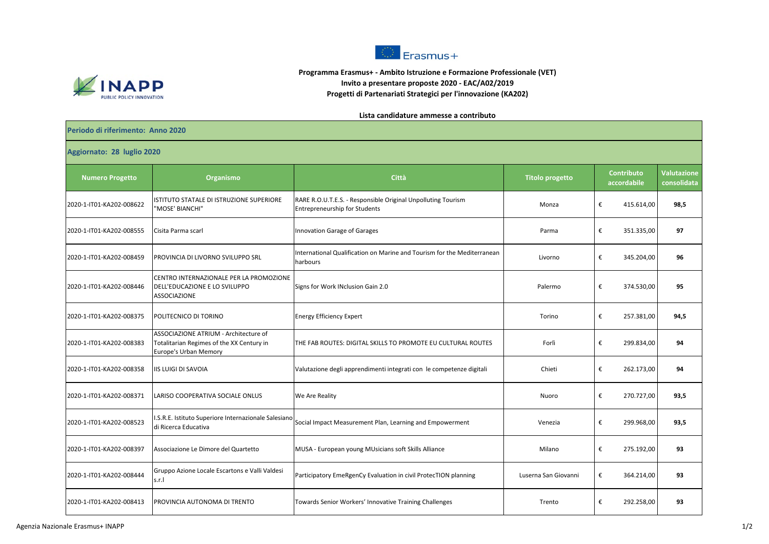

## $F<sub>transmus+</sub>$ 3.3 **Programma Erasmus+ - Ambito Istruzione e Formazione Professionale (VET)**

## **Invito a presentare proposte 2020 - EAC/A02/2019**

**Progetti di Partenariati Strategici per l'innovazione (KA202)**

## **Lista candidature ammesse a contributo**

| Periodo di riferimento: Anno 2020 |                                                                                                             |                                                                                                      |                        |                                  |            |                                   |  |  |  |  |  |
|-----------------------------------|-------------------------------------------------------------------------------------------------------------|------------------------------------------------------------------------------------------------------|------------------------|----------------------------------|------------|-----------------------------------|--|--|--|--|--|
| Aggiornato: 28 luglio 2020        |                                                                                                             |                                                                                                      |                        |                                  |            |                                   |  |  |  |  |  |
| <b>Numero Progetto</b>            | Organismo                                                                                                   | Città                                                                                                | <b>Titolo progetto</b> | <b>Contributo</b><br>accordabile |            | <b>Valutazione</b><br>consolidata |  |  |  |  |  |
| 2020-1-IT01-KA202-008622          | ISTITUTO STATALE DI ISTRUZIONE SUPERIORE<br>"MOSE' BIANCHI"                                                 | RARE R.O.U.T.E.S. - Responsible Original Unpolluting Tourism<br><b>Entrepreneurship for Students</b> | Monza                  | €                                | 415.614,00 | 98,5                              |  |  |  |  |  |
| 2020-1-IT01-KA202-008555          | Cisita Parma scarl                                                                                          | Innovation Garage of Garages                                                                         | Parma                  | €                                | 351.335,00 | 97                                |  |  |  |  |  |
| 2020-1-IT01-KA202-008459          | PROVINCIA DI LIVORNO SVILUPPO SRL                                                                           | International Qualification on Marine and Tourism for the Mediterranean<br>harbours                  | Livorno                | €                                | 345.204,00 | 96                                |  |  |  |  |  |
| 2020-1-IT01-KA202-008446          | CENTRO INTERNAZIONALE PER LA PROMOZIONE<br>DELL'EDUCAZIONE E LO SVILUPPO<br>ASSOCIAZIONE                    | Signs for Work INclusion Gain 2.0                                                                    | Palermo                | €                                | 374.530,00 | 95                                |  |  |  |  |  |
| 2020-1-IT01-KA202-008375          | POLITECNICO DI TORINO                                                                                       | <b>Energy Efficiency Expert</b>                                                                      | Torino                 | €                                | 257.381,00 | 94,5                              |  |  |  |  |  |
| 2020-1-IT01-KA202-008383          | ASSOCIAZIONE ATRIUM - Architecture of<br>Totalitarian Regimes of the XX Century in<br>Europe's Urban Memory | THE FAB ROUTES: DIGITAL SKILLS TO PROMOTE EU CULTURAL ROUTES                                         | Forlì                  | €                                | 299.834,00 | 94                                |  |  |  |  |  |
| 2020-1-IT01-KA202-008358          | IIS LUIGI DI SAVOIA                                                                                         | Valutazione degli apprendimenti integrati con le competenze digitali                                 | Chieti                 | €                                | 262.173,00 | 94                                |  |  |  |  |  |
| 2020-1-IT01-KA202-008371          | LARISO COOPERATIVA SOCIALE ONLUS                                                                            | We Are Reality                                                                                       | Nuoro                  | €                                | 270.727,00 | 93,5                              |  |  |  |  |  |
| 2020-1-IT01-KA202-008523          | I.S.R.E. Istituto Superiore Internazionale Salesiano<br>di Ricerca Educativa                                | Social Impact Measurement Plan, Learning and Empowerment                                             | Venezia                | €                                | 299.968,00 | 93,5                              |  |  |  |  |  |
| 2020-1-IT01-KA202-008397          | Associazione Le Dimore del Quartetto                                                                        | MUSA - European young MUsicians soft Skills Alliance                                                 | Milano                 | €                                | 275.192,00 | 93                                |  |  |  |  |  |
| 2020-1-IT01-KA202-008444          | Gruppo Azione Locale Escartons e Valli Valdesi<br>s.r.l                                                     | Participatory EmeRgenCy Evaluation in civil ProtecTION planning                                      | Luserna San Giovanni   | €                                | 364.214,00 | 93                                |  |  |  |  |  |
| 2020-1-IT01-KA202-008413          | PROVINCIA AUTONOMA DI TRENTO                                                                                | Towards Senior Workers' Innovative Training Challenges                                               | Trento                 | €                                | 292.258,00 | 93                                |  |  |  |  |  |